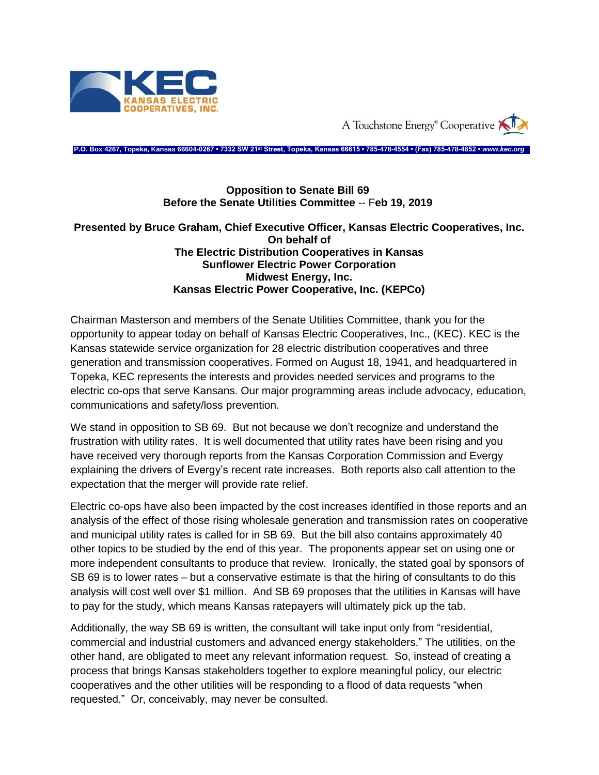

A Touchstone Energy<sup>®</sup> Cooperative

**P.O. Box 4267, Topeka, Kansas 66604-0267 • 7332 SW 21st Street, Topeka, Kansas 66615 • 785-478-4554 • (Fax) 785-478-4852 •** *www.kec.org*

## **Opposition to Senate Bill 69 Before the Senate Utilities Committee** -- F**eb 19, 2019**

## **Presented by Bruce Graham, Chief Executive Officer, Kansas Electric Cooperatives, Inc. On behalf of The Electric Distribution Cooperatives in Kansas Sunflower Electric Power Corporation Midwest Energy, Inc. Kansas Electric Power Cooperative, Inc. (KEPCo)**

Chairman Masterson and members of the Senate Utilities Committee, thank you for the opportunity to appear today on behalf of Kansas Electric Cooperatives, Inc., (KEC). KEC is the Kansas statewide service organization for 28 electric distribution cooperatives and three generation and transmission cooperatives. Formed on August 18, 1941, and headquartered in Topeka, KEC represents the interests and provides needed services and programs to the electric co-ops that serve Kansans. Our major programming areas include advocacy, education, communications and safety/loss prevention.

We stand in opposition to SB 69. But not because we don't recognize and understand the frustration with utility rates. It is well documented that utility rates have been rising and you have received very thorough reports from the Kansas Corporation Commission and Evergy explaining the drivers of Evergy's recent rate increases. Both reports also call attention to the expectation that the merger will provide rate relief.

Electric co-ops have also been impacted by the cost increases identified in those reports and an analysis of the effect of those rising wholesale generation and transmission rates on cooperative and municipal utility rates is called for in SB 69. But the bill also contains approximately 40 other topics to be studied by the end of this year. The proponents appear set on using one or more independent consultants to produce that review. Ironically, the stated goal by sponsors of SB 69 is to lower rates – but a conservative estimate is that the hiring of consultants to do this analysis will cost well over \$1 million. And SB 69 proposes that the utilities in Kansas will have to pay for the study, which means Kansas ratepayers will ultimately pick up the tab.

Additionally, the way SB 69 is written, the consultant will take input only from "residential, commercial and industrial customers and advanced energy stakeholders." The utilities, on the other hand, are obligated to meet any relevant information request. So, instead of creating a process that brings Kansas stakeholders together to explore meaningful policy, our electric cooperatives and the other utilities will be responding to a flood of data requests "when requested." Or, conceivably, may never be consulted.